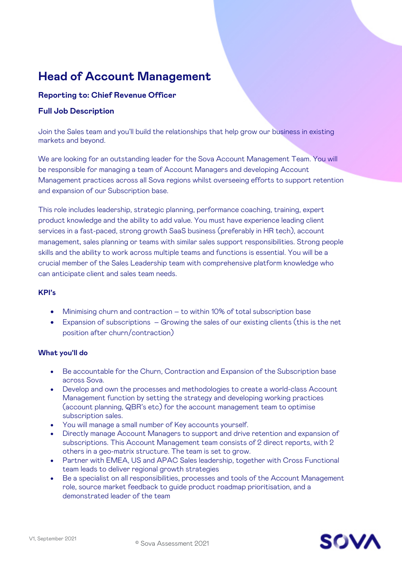# **Head of Account Management**

## **Reporting to: Chief Revenue Officer**

## **Full Job Description**

Join the Sales team and you'll build the relationships that help grow our business in existing markets and beyond.

We are looking for an outstanding leader for the Sova Account Management Team. You will be responsible for managing a team of Account Managers and developing Account Management practices across all Sova regions whilst overseeing efforts to support retention and expansion of our Subscription base.

This role includes leadership, strategic planning, performance coaching, training, expert product knowledge and the ability to add value. You must have experience leading client services in a fast-paced, strong growth SaaS business (preferably in HR tech), account management, sales planning or teams with similar sales support responsibilities. Strong people skills and the ability to work across multiple teams and functions is essential. You will be a crucial member of the Sales Leadership team with comprehensive platform knowledge who can anticipate client and sales team needs.

#### **KPI's**

- Minimising churn and contraction to within 10% of total subscription base
- Expansion of subscriptions Growing the sales of our existing clients (this is the net position after churn/contraction)

### **What you'll do**

- Be accountable for the Churn, Contraction and Expansion of the Subscription base across Sova.
- Develop and own the processes and methodologies to create a world-class Account Management function by setting the strategy and developing working practices (account planning, QBR's etc) for the account management team to optimise subscription sales.
- You will manage a small number of Key accounts yourself.
- Directly manage Account Managers to support and drive retention and expansion of subscriptions. This Account Management team consists of 2 direct reports, with 2 others in a geo-matrix structure. The team is set to grow.
- Partner with EMEA, US and APAC Sales leadership, together with Cross Functional team leads to deliver regional growth strategies
- Be a specialist on all responsibilities, processes and tools of the Account Management role, source market feedback to guide product roadmap prioritisation, and a demonstrated leader of the team